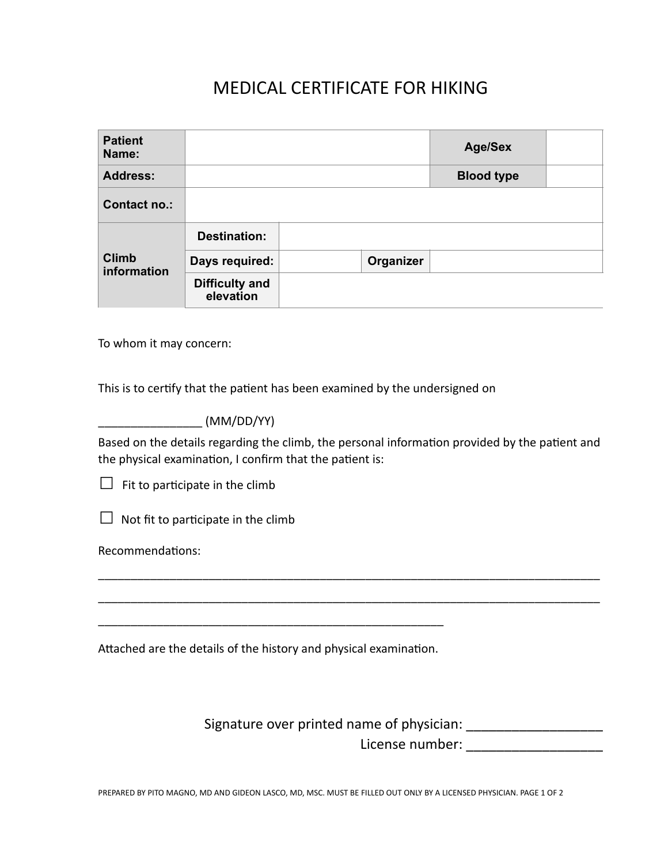## MEDICAL CERTIFICATE FOR HIKING

| <b>Patient</b><br>Name:     |                                    |           | <b>Age/Sex</b>    |  |
|-----------------------------|------------------------------------|-----------|-------------------|--|
| <b>Address:</b>             |                                    |           | <b>Blood type</b> |  |
| <b>Contact no.:</b>         |                                    |           |                   |  |
| <b>Climb</b><br>information | <b>Destination:</b>                |           |                   |  |
|                             | Days required:                     | Organizer |                   |  |
|                             | <b>Difficulty and</b><br>elevation |           |                   |  |

To whom it may concern:

This is to certify that the patient has been examined by the undersigned on

\_\_\_\_\_\_\_\_\_\_\_\_\_\_\_\_ (MM/DD/YY)

Based on the details regarding the climb, the personal information provided by the patient and the physical examination, I confirm that the patient is:

\_\_\_\_\_\_\_\_\_\_\_\_\_\_\_\_\_\_\_\_\_\_\_\_\_\_\_\_\_\_\_\_\_\_\_\_\_\_\_\_\_\_\_\_\_\_\_\_\_\_\_\_\_\_\_\_\_\_\_\_\_\_\_\_\_\_\_\_\_\_\_\_\_\_\_\_\_

\_\_\_\_\_\_\_\_\_\_\_\_\_\_\_\_\_\_\_\_\_\_\_\_\_\_\_\_\_\_\_\_\_\_\_\_\_\_\_\_\_\_\_\_\_\_\_\_\_\_\_\_\_\_\_\_\_\_\_\_\_\_\_\_\_\_\_\_\_\_\_\_\_\_\_\_\_

 $\Box$  Fit to participate in the climb

 $\Box$  Not fit to participate in the climb

Recommendations:

Attached are the details of the history and physical examination.

\_\_\_\_\_\_\_\_\_\_\_\_\_\_\_\_\_\_\_\_\_\_\_\_\_\_\_\_\_\_\_\_\_\_\_\_\_\_\_\_\_\_\_\_\_\_\_\_\_\_\_\_\_

Signature over printed name of physician: \_\_\_\_\_\_\_\_\_\_\_\_\_\_\_\_\_\_

License number:

PREPARED BY PITO MAGNO, MD AND GIDEON LASCO, MD, MSC. MUST BE FILLED OUT ONLY BY A LICENSED PHYSICIAN. PAGE 1 OF 2